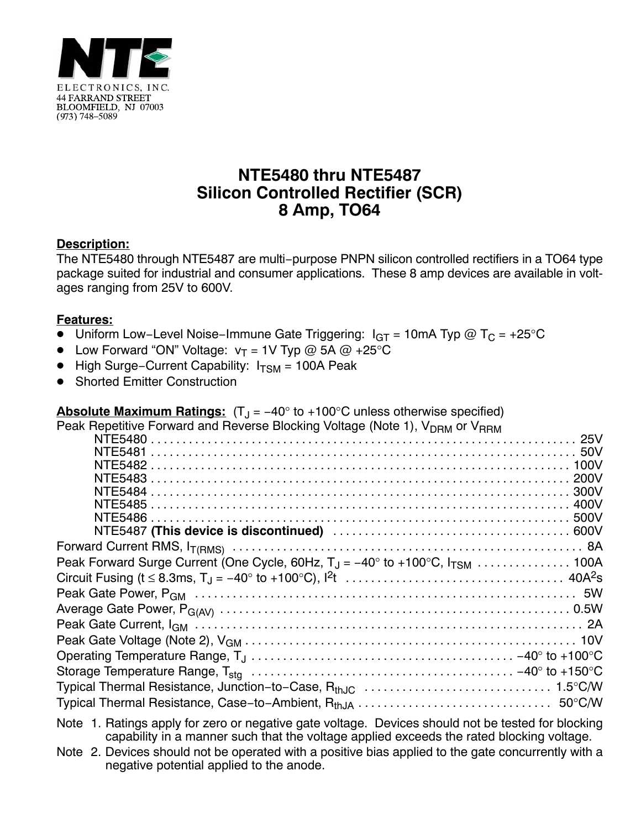

## **NTE5480 thru NTE5487 Silicon Controlled Rectifier (SCR) 8 Amp, TO64**

## **Description:**

The NTE5480 through NTE5487 are multi−purpose PNPN silicon controlled rectifiers in a TO64 type package suited for industrial and consumer applications. These 8 amp devices are available in voltages ranging from 25V to 600V.

## **Features:**

- Uniform Low-Level Noise-Immune Gate Triggering: I<sub>GT</sub> = 10mA Typ @ T<sub>C</sub> = +25°C
- Low Forward "ON" Voltage:  $v_T = 1$ V Typ @ 5A @ +25°C
- High Surge–Current Capability: I<sub>TSM</sub> = 100A Peak
- $\bullet$ Shorted Emitter Construction

**Absolute Maximum Ratings:** (T<sub>J</sub> = −40° to +100°C unless otherwise specified)<br>Peak Repetitive Forward and Reverse Blocking Voltage (Note 1), VppM or VppM

Note 2. Devices should not be operated with a positive bias applied to the gate concurrently with a negative potential applied to the anode.

Note 1. Ratings apply for zero or negative gate voltage. Devices should not be tested for blocking capability in a manner such that the voltage applied exceeds the rated blocking voltage.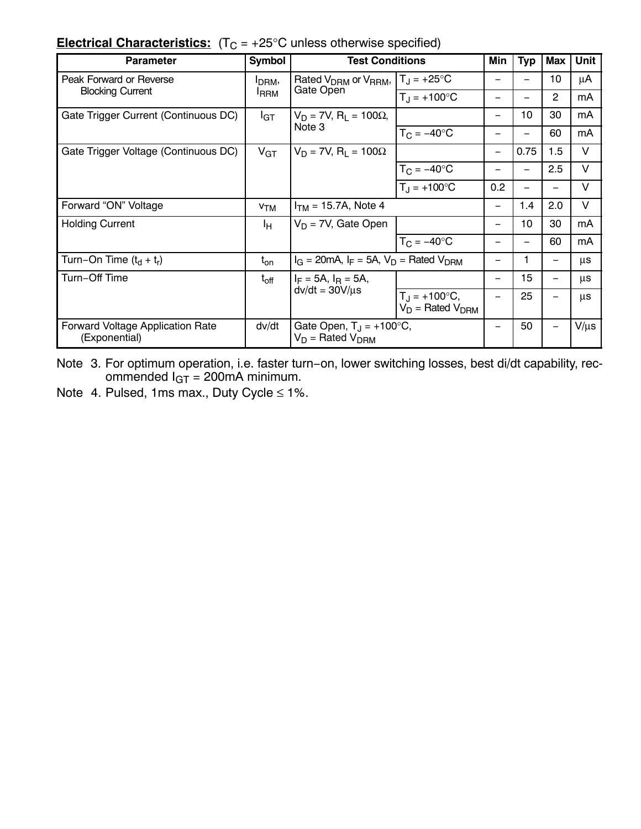| <b>Electrical Characteristics:</b> $(T_C = +25^{\circ}C$ unless otherwise specified) |  |
|--------------------------------------------------------------------------------------|--|
|--------------------------------------------------------------------------------------|--|

| <b>Parameter</b>                                         | <b>Symbol</b>                      | <b>Test Conditions</b>                                                           |                                             | Min                      | <b>Typ</b>               | Max                      | <b>Unit</b> |
|----------------------------------------------------------|------------------------------------|----------------------------------------------------------------------------------|---------------------------------------------|--------------------------|--------------------------|--------------------------|-------------|
| Peak Forward or Reverse<br><b>Blocking Current</b>       | I <sub>DRM</sub> ,<br><b>I</b> RRM | Rated V <sub>DRM</sub> or V <sub>RRM</sub> ,<br>Gate Open                        | $T_{\rm J} = +25^{\circ}C$                  |                          |                          | 10                       | μA          |
|                                                          |                                    |                                                                                  | $T_{\rm J}$ = +100°C                        |                          |                          | $\overline{2}$           | mA          |
| Gate Trigger Current (Continuous DC)                     | $I_{\text{GT}}$                    | $V_D$ = 7V, R <sub>L</sub> = 100Ω,                                               |                                             | $\overline{\phantom{0}}$ | 10                       | 30                       | mA          |
|                                                          | Note 3                             |                                                                                  | $T_C = -40$ °C                              |                          | —                        | 60                       | mA          |
| Gate Trigger Voltage (Continuous DC)                     | $V_{GT}$                           | $V_D = 7V$ , R <sub>1</sub> = 100 $\Omega$                                       |                                             | $\qquad \qquad -$        | 0.75                     | 1.5                      | V           |
|                                                          |                                    |                                                                                  | $T_{\rm C}$ = $-40^{\circ}$ C               |                          |                          | 2.5                      | V           |
|                                                          |                                    |                                                                                  | $T_{\rm J}$ = +100°C                        | 0.2                      | $\overline{\phantom{m}}$ | $\qquad \qquad$          | V           |
| Forward "ON" Voltage                                     | V <sub>TM</sub>                    | $I_{TM}$ = 15.7A, Note 4                                                         |                                             | $\overline{\phantom{0}}$ | 1.4                      | 2.0                      | V           |
| <b>Holding Current</b>                                   | Iн                                 | $V_D$ = 7V, Gate Open                                                            |                                             | $\overline{\phantom{0}}$ | 10                       | 30                       | mA          |
|                                                          |                                    |                                                                                  | $T_C = -40$ °C                              |                          |                          | 60                       | mA          |
| Turn-On Time $(t_d + t_r)$                               | $t_{on}$                           | $I_G = 20 \text{mA}$ , $I_F = 5 \text{A}$ , $V_D = \text{Rated } V_{\text{DRM}}$ |                                             | -                        |                          | $\overline{\phantom{0}}$ | μs          |
| Turn-Off Time                                            | $t_{\rm off}$                      | $I_F = 5A$ , $I_R = 5A$ ,                                                        |                                             |                          | 15                       |                          | μs          |
|                                                          |                                    | $dv/dt = 30 V/\mu s$                                                             | $T_J = +100$ °C,<br>$V_D$ = Rated $V_{DRM}$ |                          | 25                       |                          | μs          |
| <b>Forward Voltage Application Rate</b><br>(Exponential) | dv/dt                              | Gate Open, $T_{\text{J}} = +100^{\circ}C$ ,<br>$V_D$ = Rated $V_{DRM}$           |                                             |                          | 50                       |                          | $V/\mu s$   |

Note 3. For optimum operation, i.e. faster turn−on, lower switching losses, best di/dt capability, recommended I<sub>GT</sub> = 200mA minimum.

Note 4. Pulsed, 1ms max., Duty Cycle ≤ 1%.